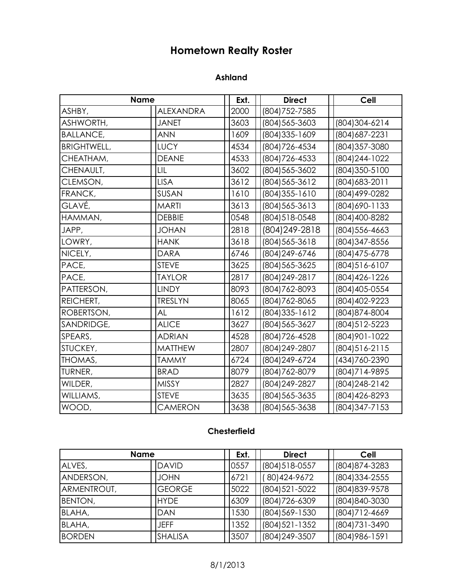# **Hometown Realty Roster**

#### **Ashland**

|                    | <b>Name</b>      | Ext. | <b>Direct</b>  | <b>Cell</b>      |
|--------------------|------------------|------|----------------|------------------|
| ASHBY,             | <b>ALEXANDRA</b> | 2000 | (804) 752-7585 |                  |
| ASHWORTH,          | <b>JANET</b>     | 3603 | (804) 565-3603 | (804) 304-6214   |
| <b>BALLANCE,</b>   | <b>ANN</b>       | 1609 | (804) 335-1609 | (804) 687-2231   |
| <b>BRIGHTWELL,</b> | <b>LUCY</b>      | 4534 | (804) 726-4534 | (804) 357-3080   |
| CHEATHAM,          | <b>DEANE</b>     | 4533 | (804) 726-4533 | (804) 244-1022   |
| CHENAULT,          | LIL              | 3602 | (804) 565-3602 | (804) 350-5100   |
| CLEMSON,           | <b>LISA</b>      | 3612 | (804) 565-3612 | (804) 683-2011   |
| FRANCK,            | SUSAN            | 1610 | (804) 355-1610 | (804) 499-0282   |
| GLAVÉ,             | <b>MARTI</b>     | 3613 | (804) 565-3613 | (804) 690-1133   |
| HAMMAN,            | <b>DEBBIE</b>    | 0548 | (804) 518-0548 | (804) 400-8282   |
| JAPP,              | <b>JOHAN</b>     | 2818 | (804) 249-2818 | (804) 556-4663   |
| LOWRY,             | <b>HANK</b>      | 3618 | (804) 565-3618 | (804) 347-8556   |
| NICELY,            | <b>DARA</b>      | 6746 | (804) 249-6746 | (804) 475-6778   |
| PACE,              | <b>STEVE</b>     | 3625 | (804) 565-3625 | (804) 516-6107   |
| PACE,              | <b>TAYLOR</b>    | 2817 | (804) 249-2817 | (804) 426-1226   |
| PATTERSON,         | <b>LINDY</b>     | 8093 | (804) 762-8093 | (804) 405-0554   |
| REICHERT,          | <b>TRESLYN</b>   | 8065 | (804) 762-8065 | (804) 402-9223   |
| ROBERTSON,         | AL               | 1612 | (804) 335-1612 | (804) 874-8004   |
| SANDRIDGE,         | <b>ALICE</b>     | 3627 | (804) 565-3627 | (804) 512-5223   |
| SPEARS,            | <b>ADRIAN</b>    | 4528 | (804) 726-4528 | (804) 901 - 1022 |
| STUCKEY,           | <b>MATTHEW</b>   | 2807 | (804) 249-2807 | (804) 516-2115   |
| THOMAS,            | <b>TAMMY</b>     | 6724 | (804) 249-6724 | (434) 760-2390   |
| TURNER,            | <b>BRAD</b>      | 8079 | (804) 762-8079 | (804) 714-9895   |
| WILDER,            | <b>MISSY</b>     | 2827 | (804) 249-2827 | (804) 248-2142   |
| WILLIAMS,          | <b>STEVE</b>     | 3635 | (804) 565-3635 | (804) 426-8293   |
| WOOD,              | <b>CAMERON</b>   | 3638 | (804) 565-3638 | (804) 347-7153   |

### **Chesterfield**

| <b>Name</b>    |                | Ext. | <b>Direct</b>    | Cell           |
|----------------|----------------|------|------------------|----------------|
| ALVES,         | <b>DAVID</b>   | 0557 | (804) 518-0557   | (804) 874-3283 |
| ANDERSON,      | <b>JOHN</b>    | 6721 | (80) 424-9672    | (804) 334-2555 |
| ARMENTROUT,    | <b>GEORGE</b>  | 5022 | (804) 521-5022   | (804) 839-9578 |
| <b>BENTON,</b> | <b>HYDE</b>    | 6309 | (804) 726-6309   | (804) 840-3030 |
| BLAHA,         | DAN            | 1530 | (804) 569-1530   | (804) 712-4669 |
| BLAHA,         | <b>JEFF</b>    | 1352 | (804) 521 - 1352 | (804) 731-3490 |
| <b>BORDEN</b>  | <b>SHALISA</b> | 3507 | (804) 249-3507   | (804) 986-1591 |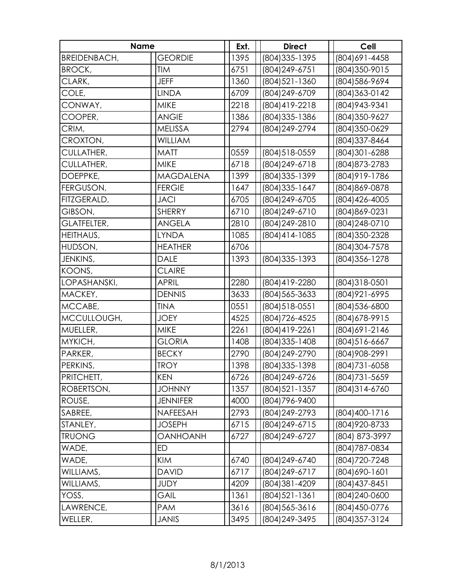| <b>Name</b>         |                  | Ext. | <b>Direct</b>    | Cell           |
|---------------------|------------------|------|------------------|----------------|
| <b>BREIDENBACH,</b> | <b>GEORDIE</b>   | 1395 | (804) 335-1395   | (804) 691-4458 |
| <b>BROCK,</b>       | <b>TIM</b>       | 6751 | (804) 249-6751   | (804) 350-9015 |
| CLARK,              | <b>JEFF</b>      | 1360 | (804) 521-1360   | (804) 586-9694 |
| COLE,               | <b>LINDA</b>     | 6709 | (804) 249-6709   | (804) 363-0142 |
| CONWAY,             | <b>MIKE</b>      | 2218 | (804) 419-2218   | (804) 943-9341 |
| COOPER,             | <b>ANGIE</b>     | 1386 | (804) 335-1386   | (804) 350-9627 |
| CRIM,               | <b>MELISSA</b>   | 2794 | (804) 249-2794   | (804) 350-0629 |
| CROXTON,            | <b>WILLIAM</b>   |      |                  | (804) 337-8464 |
| CULLATHER,          | <b>MATT</b>      | 0559 | (804) 518-0559   | (804) 301-6288 |
| CULLATHER,          | <b>MIKE</b>      | 6718 | (804) 249-6718   | (804) 873-2783 |
| DOEPPKE,            | <b>MAGDALENA</b> | 1399 | (804) 335-1399   | (804) 919-1786 |
| FERGUSON,           | <b>FERGIE</b>    | 1647 | (804) 335-1647   | (804) 869-0878 |
| FITZGERALD,         | <b>JACI</b>      | 6705 | (804) 249-6705   | (804) 426-4005 |
| GIBSON,             | <b>SHERRY</b>    | 6710 | (804) 249-6710   | (804) 869-0231 |
| <b>GLATFELTER,</b>  | <b>ANGELA</b>    | 2810 | (804) 249-2810   | (804) 248-0710 |
| HEITHAUS,           | <b>LYNDA</b>     | 1085 | (804) 414-1085   | (804) 350-2328 |
| HUDSON,             | <b>HEATHER</b>   | 6706 |                  | (804) 304-7578 |
| JENKINS,            | <b>DALE</b>      | 1393 | (804) 335 - 1393 | (804) 356-1278 |
| KOONS,              | <b>CLAIRE</b>    |      |                  |                |
| LOPASHANSKI,        | <b>APRIL</b>     | 2280 | (804) 419-2280   | (804) 318-0501 |
| MACKEY,             | <b>DENNIS</b>    | 3633 | (804) 565-3633   | (804) 921-6995 |
| MCCABE,             | <b>TINA</b>      | 0551 | (804) 518-0551   | (804) 536-6800 |
| MCCULLOUGH,         | <b>JOEY</b>      | 4525 | (804) 726-4525   | (804) 678-9915 |
| MUELLER,            | <b>MIKE</b>      | 2261 | (804) 419-2261   | (804) 691-2146 |
| MYKICH,             | <b>GLORIA</b>    | 1408 | (804) 335-1408   | (804) 516-6667 |
| PARKER,             | <b>BECKY</b>     | 2790 | (804) 249-2790   | (804) 908-2991 |
| PERKINS,            | <b>TROY</b>      | 1398 | (804) 335-1398   | (804) 731-6058 |
| PRITCHETT,          | <b>KEN</b>       | 6726 | (804) 249-6726   | (804) 731-5659 |
| ROBERTSON,          | <b>JOHNNY</b>    | 1357 | (804) 521-1357   | (804) 314-6760 |
| ROUSE,              | <b>JENNIFER</b>  | 4000 | (804) 796-9400   |                |
| SABREE,             | NAFEESAH         | 2793 | (804) 249-2793   | (804) 400-1716 |
| STANLEY,            | <b>JOSEPH</b>    | 6715 | (804) 249-6715   | (804) 920-8733 |
| <b>TRUONG</b>       | <b>OANHOANH</b>  | 6727 | (804) 249-6727   | (804) 873-3997 |
| WADE,               | ED               |      |                  | (804) 787-0834 |
| WADE,               | <b>KIM</b>       | 6740 | (804) 249-6740   | (804) 720-7248 |
| WILLIAMS,           | <b>DAVID</b>     | 6717 | (804) 249-6717   | (804) 690-1601 |
| WILLIAMS,           | <b>JUDY</b>      | 4209 | (804) 381-4209   | (804) 437-8451 |
| YOSS,               | GAIL             | 1361 | (804) 521-1361   | (804) 240-0600 |
| LAWRENCE,           | <b>PAM</b>       | 3616 | (804) 565-3616   | (804) 450-0776 |
| WELLER,             | <b>JANIS</b>     | 3495 | (804) 249-3495   | (804) 357-3124 |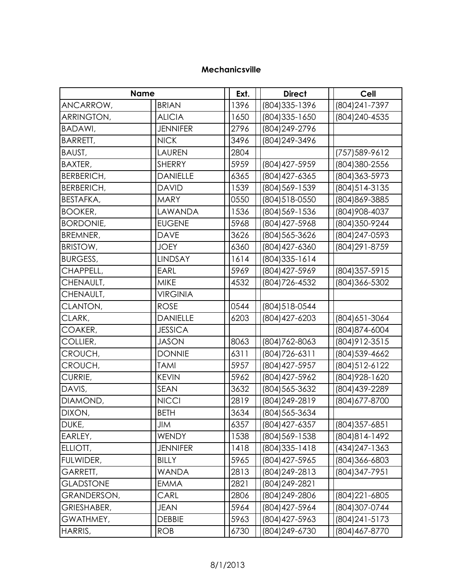#### **Mechanicsville**

| <b>Name</b>       |                 | Ext. | <b>Direct</b>  | <b>Cell</b>      |
|-------------------|-----------------|------|----------------|------------------|
| ANCARROW,         | <b>BRIAN</b>    | 1396 | (804) 335-1396 | (804) 241-7397   |
| ARRINGTON,        | <b>ALICIA</b>   | 1650 | (804) 335-1650 | (804) 240-4535   |
| BADAWI,           | <b>JENNIFER</b> | 2796 | (804) 249-2796 |                  |
| BARRETT,          | <b>NICK</b>     | 3496 | (804) 249-3496 |                  |
| BAUST,            | LAUREN          | 2804 |                | (757) 589-9612   |
| <b>BAXTER,</b>    | <b>SHERRY</b>   | 5959 | (804) 427-5959 | (804) 380-2556   |
| <b>BERBERICH,</b> | <b>DANIELLE</b> | 6365 | (804) 427-6365 | (804) 363-5973   |
| <b>BERBERICH,</b> | <b>DAVID</b>    | 1539 | (804) 569-1539 | (804) 514-3135   |
| BESTAFKA,         | <b>MARY</b>     | 0550 | (804) 518-0550 | (804) 869-3885   |
| <b>BOOKER,</b>    | LAWANDA         | 1536 | (804) 569-1536 | (804) 908-4037   |
| <b>BORDONIE,</b>  | <b>EUGENE</b>   | 5968 | (804) 427-5968 | (804) 350-9244   |
| BREMNER,          | <b>DAVE</b>     | 3626 | (804) 565-3626 | (804) 247-0593   |
| <b>BRISTOW,</b>   | <b>JOEY</b>     | 6360 | (804) 427-6360 | (804) 291-8759   |
| <b>BURGESS,</b>   | <b>LINDSAY</b>  | 1614 | (804) 335-1614 |                  |
| CHAPPELL,         | <b>EARL</b>     | 5969 | (804) 427-5969 | (804) 357-5915   |
| CHENAULT,         | <b>MIKE</b>     | 4532 | (804) 726-4532 | (804) 366-5302   |
| CHENAULT,         | <b>VIRGINIA</b> |      |                |                  |
| CLANTON,          | <b>ROSE</b>     | 0544 | (804) 518-0544 |                  |
| CLARK,            | <b>DANIELLE</b> | 6203 | (804) 427-6203 | (804) 651-3064   |
| COAKER,           | <b>JESSICA</b>  |      |                | (804) 874-6004   |
| COLLIER,          | <b>JASON</b>    | 8063 | (804) 762-8063 | (804) 912-3515   |
| CROUCH,           | <b>DONNIE</b>   | 6311 | (804) 726-6311 | (804) 539-4662   |
| CROUCH,           | <b>TAMI</b>     | 5957 | (804) 427-5957 | (804) 512-6122   |
| CURRIE,           | <b>KEVIN</b>    | 5962 | (804) 427-5962 | (804) 928-1620   |
| DAVIS,            | <b>SEAN</b>     | 3632 | (804) 565-3632 | (804) 439-2289   |
| DIAMOND,          | <b>NICCI</b>    | 2819 | (804) 249-2819 | (804) 677-8700   |
| DIXON,            | <b>BETH</b>     | 3634 | (804) 565-3634 |                  |
| DUKE,             | JIM             | 6357 | (804) 427-6357 | (804) 357-6851   |
| EARLEY,           | <b>WENDY</b>    | 1538 | (804) 569-1538 | (804) 814-1492   |
| ELLIOTT,          | <b>JENNIFER</b> | 1418 | (804) 335-1418 | (434) 247 - 1363 |
| FULWIDER,         | <b>BILLY</b>    | 5965 | (804) 427-5965 | (804) 366-6803   |
| GARRETT,          | <b>WANDA</b>    | 2813 | (804) 249-2813 | (804) 347-7951   |
| <b>GLADSTONE</b>  | EMMA            | 2821 | (804)249-2821  |                  |
| GRANDERSON,       | CARL            | 2806 | (804) 249-2806 | (804) 221-6805   |
| GRIESHABER,       | <b>JEAN</b>     | 5964 | (804) 427-5964 | (804) 307-0744   |
| GWATHMEY,         | <b>DEBBIE</b>   | 5963 | (804) 427-5963 | (804) 241-5173   |
| HARRIS,           | <b>ROB</b>      | 6730 | (804) 249-6730 | (804) 467-8770   |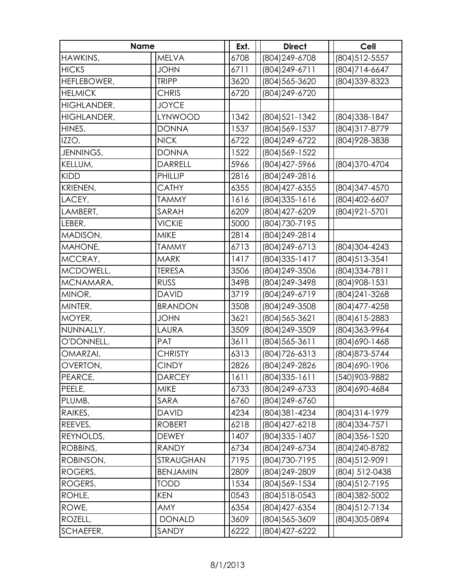| <b>Name</b>        |                 | Ext. | <b>Direct</b>    | <b>Cell</b>    |
|--------------------|-----------------|------|------------------|----------------|
| HAWKINS,           | <b>MELVA</b>    | 6708 | (804) 249-6708   | (804) 512-5557 |
| <b>HICKS</b>       | <b>JOHN</b>     | 6711 | (804) 249-6711   | (804)714-6647  |
| HEFLEBOWER,        | <b>TRIPP</b>    | 3620 | (804) 565-3620   | (804) 339-8323 |
| <b>HELMICK</b>     | <b>CHRIS</b>    | 6720 | (804) 249-6720   |                |
| <b>HIGHLANDER,</b> | <b>JOYCE</b>    |      |                  |                |
| <b>HIGHLANDER,</b> | <b>LYNWOOD</b>  | 1342 | (804) 521 - 1342 | (804) 338-1847 |
| HINES,             | <b>DONNA</b>    | 1537 | (804) 569-1537   | (804) 317-8779 |
| IZZO,              | <b>NICK</b>     | 6722 | (804) 249-6722   | (804) 928-3838 |
| JENNINGS,          | <b>DONNA</b>    | 1522 | (804) 569-1522   |                |
| KELLUM,            | <b>DARRELL</b>  | 5966 | (804) 427-5966   | (804) 370-4704 |
| <b>KIDD</b>        | PHILLIP         | 2816 | (804) 249-2816   |                |
| KRIENEN,           | <b>CATHY</b>    | 6355 | (804) 427-6355   | (804) 347-4570 |
| LACEY,             | <b>TAMMY</b>    | 1616 | (804) 335 - 1616 | (804) 402-6607 |
| LAMBERT,           | SARAH           | 6209 | (804) 427-6209   | (804) 921-5701 |
| LEBER,             | <b>VICKIE</b>   | 5000 | (804) 730-7195   |                |
| MADISON,           | <b>MIKE</b>     | 2814 | (804) 249-2814   |                |
| MAHONE,            | <b>TAMMY</b>    | 6713 | (804) 249-6713   | (804) 304-4243 |
| MCCRAY,            | <b>MARK</b>     | 1417 | (804) 335-1417   | (804) 513-3541 |
| MCDOWELL,          | <b>TERESA</b>   | 3506 | (804) 249-3506   | (804) 334-7811 |
| MCNAMARA,          | <b>RUSS</b>     | 3498 | (804) 249-3498   | (804) 908-1531 |
| MINOR,             | <b>DAVID</b>    | 3719 | (804) 249-6719   | (804) 241-3268 |
| MINTER,            | <b>BRANDON</b>  | 3508 | (804) 249-3508   | (804) 477-4258 |
| MOYER,             | <b>JOHN</b>     | 3621 | (804) 565-3621   | (804) 615-2883 |
| NUNNALLY,          | LAURA           | 3509 | (804) 249-3509   | (804) 363-9964 |
| O'DONNELL,         | PAT             | 3611 | (804) 565-3611   | (804) 690-1468 |
| OMARZAI,           | <b>CHRISTY</b>  | 6313 | (804) 726-6313   | (804) 873-5744 |
| OVERTON,           | <b>CINDY</b>    | 2826 | (804) 249-2826   | (804) 690-1906 |
| PEARCE,            | <b>DARCEY</b>   | 1611 | (804) 335-1611   | (540) 903-9882 |
| PEELE,             | <b>MIKE</b>     | 6733 | (804) 249-6733   | (804) 690-4684 |
| PLUMB,             | SARA            | 6760 | (804) 249-6760   |                |
| RAIKES,            | <b>DAVID</b>    | 4234 | (804) 381-4234   | (804) 314-1979 |
| REEVES,            | <b>ROBERT</b>   | 6218 | (804) 427-6218   | (804) 334-7571 |
| REYNOLDS,          | <b>DEWEY</b>    | 1407 | (804) 335-1407   | (804) 356-1520 |
| ROBBINS,           | <b>RANDY</b>    | 6734 | (804) 249-6734   | (804) 240-8782 |
| ROBINSON,          | STRAUGHAN       | 7195 | (804) 730-7195   | (804) 512-9091 |
| ROGERS,            | <b>BENJAMIN</b> | 2809 | (804) 249-2809   | (804) 512-0438 |
| ROGERS,            | <b>TODD</b>     | 1534 | (804) 569-1534   | (804) 512-7195 |
| ROHLE,             | <b>KEN</b>      | 0543 | (804) 518-0543   | (804) 382-5002 |
| ROWE,              | AMY             | 6354 | (804) 427-6354   | (804) 512-7134 |
| ROZELL,            | <b>DONALD</b>   | 3609 | (804) 565-3609   | (804) 305-0894 |
| SCHAEFER,          | SANDY           | 6222 | (804) 427-6222   |                |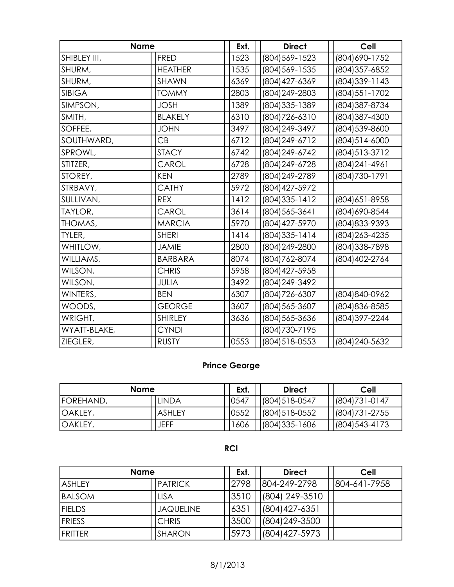| <b>Name</b>   |                | Ext. | <b>Direct</b>    | <b>Cell</b>      |  |
|---------------|----------------|------|------------------|------------------|--|
| SHIBLEY III,  | FRED           | 1523 | (804) 569-1523   | (804) 690-1752   |  |
| SHURM,        | <b>HEATHER</b> | 1535 | (804) 569-1535   | (804) 357-6852   |  |
| SHURM,        | <b>SHAWN</b>   | 6369 | (804) 427-6369   | (804) 339-1143   |  |
| <b>SIBIGA</b> | <b>TOMMY</b>   | 2803 | (804) 249-2803   | (804) 551 - 1702 |  |
| SIMPSON,      | <b>JOSH</b>    | 1389 | (804) 335-1389   | (804) 387-8734   |  |
| SMITH,        | <b>BLAKELY</b> | 6310 | (804) 726-6310   | (804) 387-4300   |  |
| SOFFEE,       | <b>JOHN</b>    | 3497 | (804) 249-3497   | (804) 539-8600   |  |
| SOUTHWARD,    | CB             | 6712 | (804) 249-6712   | (804) 514-6000   |  |
| SPROWL,       | <b>STACY</b>   | 6742 | (804) 249-6742   | (804) 513-3712   |  |
| STITZER,      | CAROL          | 6728 | (804) 249-6728   | (804) 241 - 4961 |  |
| STOREY,       | <b>KEN</b>     | 2789 | (804) 249-2789   | (804) 730-1791   |  |
| STRBAVY,      | <b>CATHY</b>   | 5972 | (804) 427-5972   |                  |  |
| SULLIVAN,     | <b>REX</b>     | 1412 | (804) 335 - 1412 | (804) 651-8958   |  |
| TAYLOR,       | CAROL          | 3614 | (804) 565-3641   | (804) 690-8544   |  |
| THOMAS,       | <b>MARCIA</b>  | 5970 | (804) 427-5970   | (804) 833-9393   |  |
| TYLER,        | <b>SHERI</b>   | 1414 | (804) 335 - 1414 | (804) 263-4235   |  |
| WHITLOW,      | <b>JAMIE</b>   | 2800 | (804) 249-2800   | (804) 338-7898   |  |
| WILLIAMS,     | <b>BARBARA</b> | 8074 | (804) 762-8074   | (804) 402-2764   |  |
| WILSON,       | <b>CHRIS</b>   | 5958 | (804) 427-5958   |                  |  |
| WILSON,       | <b>JULIA</b>   | 3492 | (804) 249-3492   |                  |  |
| WINTERS,      | <b>BEN</b>     | 6307 | (804) 726-6307   | (804) 840-0962   |  |
| WOODS,        | <b>GEORGE</b>  | 3607 | (804) 565-3607   | (804) 836-8585   |  |
| WRIGHT,       | SHIRLEY        | 3636 | (804) 565-3636   | (804) 397-2244   |  |
| WYATT-BLAKE,  | <b>CYNDI</b>   |      | (804) 730-7195   |                  |  |
| ZIEGLER,      | <b>RUSTY</b>   | 0553 | (804) 518-0553   | (804) 240-5632   |  |

## **Prince George**

| <b>Name</b>       |               | Ext. | <b>Direct</b>     | Cell            |
|-------------------|---------------|------|-------------------|-----------------|
| <b>IFOREHAND,</b> | <b>LINDA</b>  | 0547 | (804) 518-0547    | $(804)731-0147$ |
| <b>OAKLEY,</b>    | <b>ASHLEY</b> | 0552 | $(804)518-0552$   | $(804)731-2755$ |
| <b>OAKLEY</b>     | <b>JEFF</b>   | 1606 | $(804)335 - 1606$ | (804) 543-4173  |

#### **RCI**

| <b>Name</b>     |                  | Ext. | <b>Direct</b>     | <b>Cell</b>  |
|-----------------|------------------|------|-------------------|--------------|
| <b>ASHLEY</b>   | <b>PATRICK</b>   | 2798 | 804-249-2798      | 804-641-7958 |
| <b>BALSOM</b>   | <b>LISA</b>      | 3510 | (804) 249-3510    |              |
| <b>FIELDS</b>   | <b>JAQUELINE</b> | 6351 | $(804)427 - 6351$ |              |
| <b>FRIESS</b>   | <b>CHRIS</b>     | 3500 | (804) 249-3500    |              |
| <b>IFRITTER</b> | <b>SHARON</b>    | 5973 | (804) 427-5973    |              |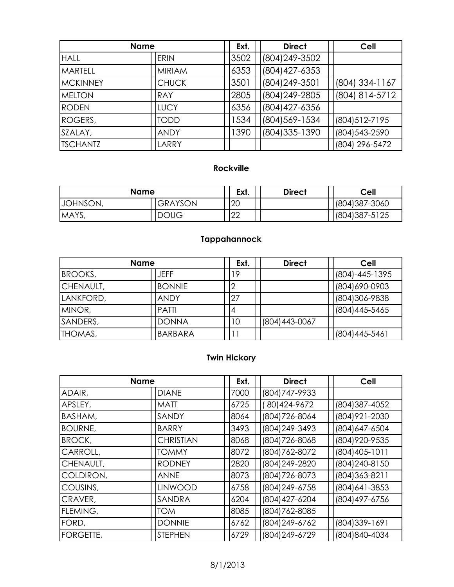| <b>Name</b>     |               | Ext. | <b>Direct</b> | <b>Cell</b>    |                |
|-----------------|---------------|------|---------------|----------------|----------------|
| <b>HALL</b>     | <b>ERIN</b>   |      | 3502          | (804) 249-3502 |                |
| <b>MARTELL</b>  | <b>MIRIAM</b> |      | 6353          | (804) 427-6353 |                |
| <b>MCKINNEY</b> | <b>CHUCK</b>  |      | 3501          | (804) 249-3501 | (804) 334-1167 |
| <b>MELTON</b>   | <b>RAY</b>    |      | 2805          | (804) 249-2805 | (804) 814-5712 |
| <b>RODEN</b>    | <b>LUCY</b>   |      | 6356          | (804) 427-6356 |                |
| ROGERS,         | <b>TODD</b>   |      | 1534          | (804) 569-1534 | (804) 512-7195 |
| SZALAY,         | <b>ANDY</b>   |      | 1390          | (804) 335-1390 | (804) 543-2590 |
| <b>TSCHANTZ</b> | LARRY         |      |               |                | (804) 296-5472 |

#### **Rockville**

| <b>Name</b> |                | Ext. | <b>Direct</b> | Cell           |
|-------------|----------------|------|---------------|----------------|
| JOHNSON,    | <b>GRAYSON</b> | 20   |               | (804) 387-3060 |
| MAYS,       | <b>DOUG</b>    | 22   |               | (804) 387-5125 |

## **Tappahannock**

|           | <b>Name</b>    | Ext. | <b>Direct</b>  | Cell           |
|-----------|----------------|------|----------------|----------------|
| BROOKS,   | JEFF           | 19   |                | (804)-445-1395 |
| CHENAULT, | <b>BONNIE</b>  |      |                | (804) 690-0903 |
| LANKFORD, | <b>ANDY</b>    | 27   |                | (804) 306-9838 |
| MINOR,    | <b>PATTI</b>   | 14   |                | (804) 445-5465 |
| SANDERS,  | <b>DONNA</b>   | 10   | (804) 443-0067 |                |
| THOMAS,   | <b>BARBARA</b> |      |                | (804)445-5461  |

## **Twin Hickory**

|                  | <b>Name</b>      | Ext. | <b>Direct</b>  | <b>Cell</b>    |
|------------------|------------------|------|----------------|----------------|
| ADAIR,           | <b>DIANE</b>     | 7000 | (804) 747-9933 |                |
| APSLEY,          | <b>MATT</b>      | 6725 | 80) 424-9672   | (804) 387-4052 |
| BASHAM,          | SANDY            | 8064 | (804) 726-8064 | (804) 921-2030 |
| <b>BOURNE,</b>   | <b>BARRY</b>     | 3493 | (804) 249-3493 | (804) 647-6504 |
| <b>BROCK,</b>    | <b>CHRISTIAN</b> | 8068 | (804) 726-8068 | (804) 920-9535 |
| CARROLL,         | <b>TOMMY</b>     | 8072 | (804) 762-8072 | (804) 405-1011 |
| CHENAULT,        | <b>RODNEY</b>    | 2820 | (804) 249-2820 | (804) 240-8150 |
| COLDIRON,        | <b>ANNE</b>      | 8073 | (804) 726-8073 | (804) 363-8211 |
| COUSINS,         | <b>LINWOOD</b>   | 6758 | (804) 249-6758 | (804) 641-3853 |
| CRAVER,          | <b>SANDRA</b>    | 6204 | (804) 427-6204 | (804) 497-6756 |
| FLEMING,         | <b>TOM</b>       | 8085 | (804) 762-8085 |                |
| FORD,            | <b>DONNIE</b>    | 6762 | (804) 249-6762 | (804) 339-1691 |
| <b>FORGETTE,</b> | <b>STEPHEN</b>   | 6729 | (804) 249-6729 | (804) 840-4034 |